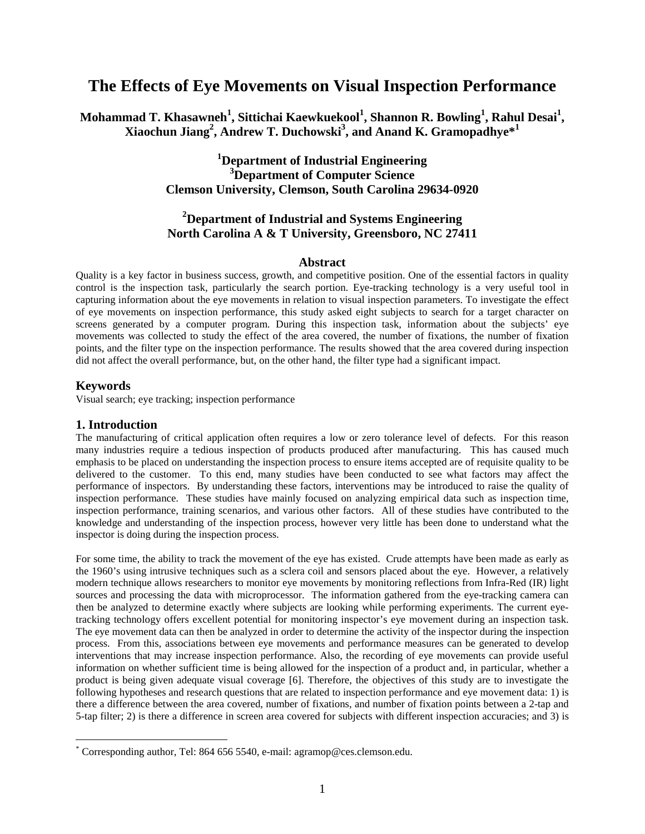# **The Effects of Eye Movements on Visual Inspection Performance**

**Mohammad T. Khasawneh<sup>1</sup> , Sittichai Kaewkuekool<sup>1</sup> , Shannon R. Bowling<sup>1</sup> , Rahul Desai<sup>1</sup> , Xiaochun Jiang2 , Andrew T. Duchowski3 , and Anand K. Gramopadhye\*<sup>1</sup>**

# **1 Department of Industrial Engineering 3 Department of Computer Science Clemson University, Clemson, South Carolina 29634-0920**

# **2 Department of Industrial and Systems Engineering North Carolina A & T University, Greensboro, NC 27411**

#### **Abstract**

Quality is a key factor in business success, growth, and competitive position. One of the essential factors in quality control is the inspection task, particularly the search portion. Eye-tracking technology is a very useful tool in capturing information about the eye movements in relation to visual inspection parameters. To investigate the effect of eye movements on inspection performance, this study asked eight subjects to search for a target character on screens generated by a computer program. During this inspection task, information about the subjects' eye movements was collected to study the effect of the area covered, the number of fixations, the number of fixation points, and the filter type on the inspection performance. The results showed that the area covered during inspection did not affect the overall performance, but, on the other hand, the filter type had a significant impact.

#### **Keywords**

 $\overline{a}$ 

Visual search; eye tracking; inspection performance

#### **1. Introduction**

The manufacturing of critical application often requires a low or zero tolerance level of defects. For this reason many industries require a tedious inspection of products produced after manufacturing. This has caused much emphasis to be placed on understanding the inspection process to ensure items accepted are of requisite quality to be delivered to the customer. To this end, many studies have been conducted to see what factors may affect the performance of inspectors. By understanding these factors, interventions may be introduced to raise the quality of inspection performance. These studies have mainly focused on analyzing empirical data such as inspection time, inspection performance, training scenarios, and various other factors. All of these studies have contributed to the knowledge and understanding of the inspection process, however very little has been done to understand what the inspector is doing during the inspection process.

For some time, the ability to track the movement of the eye has existed. Crude attempts have been made as early as the 1960's using intrusive techniques such as a sclera coil and sensors placed about the eye. However, a relatively modern technique allows researchers to monitor eye movements by monitoring reflections from Infra-Red (IR) light sources and processing the data with microprocessor. The information gathered from the eye-tracking camera can then be analyzed to determine exactly where subjects are looking while performing experiments. The current eyetracking technology offers excellent potential for monitoring inspector's eye movement during an inspection task. The eye movement data can then be analyzed in order to determine the activity of the inspector during the inspection process. From this, associations between eye movements and performance measures can be generated to develop interventions that may increase inspection performance. Also, the recording of eye movements can provide useful information on whether sufficient time is being allowed for the inspection of a product and, in particular, whether a product is being given adequate visual coverage [6]. Therefore, the objectives of this study are to investigate the following hypotheses and research questions that are related to inspection performance and eye movement data: 1) is there a difference between the area covered, number of fixations, and number of fixation points between a 2-tap and 5-tap filter; 2) is there a difference in screen area covered for subjects with different inspection accuracies; and 3) is

<sup>\*</sup> Corresponding author, Tel: 864 656 5540, e-mail: agramop@ces.clemson.edu.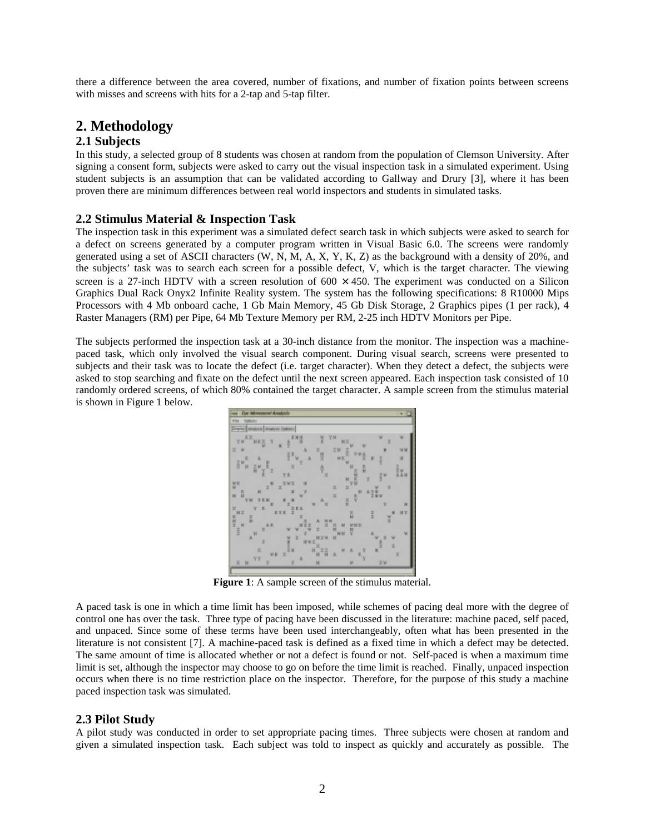there a difference between the area covered, number of fixations, and number of fixation points between screens with misses and screens with hits for a 2-tap and 5-tap filter.

# **2. Methodology**

## **2.1 Subjects**

In this study, a selected group of 8 students was chosen at random from the population of Clemson University. After signing a consent form, subjects were asked to carry out the visual inspection task in a simulated experiment. Using student subjects is an assumption that can be validated according to Gallway and Drury [3], where it has been proven there are minimum differences between real world inspectors and students in simulated tasks.

## **2.2 Stimulus Material & Inspection Task**

The inspection task in this experiment was a simulated defect search task in which subjects were asked to search for a defect on screens generated by a computer program written in Visual Basic 6.0. The screens were randomly generated using a set of ASCII characters (W, N, M, A, X, Y, K, Z) as the background with a density of 20%, and the subjects' task was to search each screen for a possible defect, V, which is the target character. The viewing screen is a 27-inch HDTV with a screen resolution of  $600 \times 450$ . The experiment was conducted on a Silicon Graphics Dual Rack Onyx2 Infinite Reality system. The system has the following specifications: 8 R10000 Mips Processors with 4 Mb onboard cache, 1 Gb Main Memory, 45 Gb Disk Storage, 2 Graphics pipes (1 per rack), 4 Raster Managers (RM) per Pipe, 64 Mb Texture Memory per RM, 2-25 inch HDTV Monitors per Pipe.

The subjects performed the inspection task at a 30-inch distance from the monitor. The inspection was a machinepaced task, which only involved the visual search component. During visual search, screens were presented to subjects and their task was to locate the defect (i.e. target character). When they detect a defect, the subjects were asked to stop searching and fixate on the defect until the next screen appeared. Each inspection task consisted of 10 randomly ordered screens, of which 80% contained the target character. A sample screen from the stimulus material is shown in Figure 1 below.



**Figure 1**: A sample screen of the stimulus material.

A paced task is one in which a time limit has been imposed, while schemes of pacing deal more with the degree of control one has over the task. Three type of pacing have been discussed in the literature: machine paced, self paced, and unpaced. Since some of these terms have been used interchangeably, often what has been presented in the literature is not consistent [7]. A machine-paced task is defined as a fixed time in which a defect may be detected. The same amount of time is allocated whether or not a defect is found or not. Self-paced is when a maximum time limit is set, although the inspector may choose to go on before the time limit is reached. Finally, unpaced inspection occurs when there is no time restriction place on the inspector. Therefore, for the purpose of this study a machine paced inspection task was simulated.

## **2.3 Pilot Study**

A pilot study was conducted in order to set appropriate pacing times. Three subjects were chosen at random and given a simulated inspection task. Each subject was told to inspect as quickly and accurately as possible. The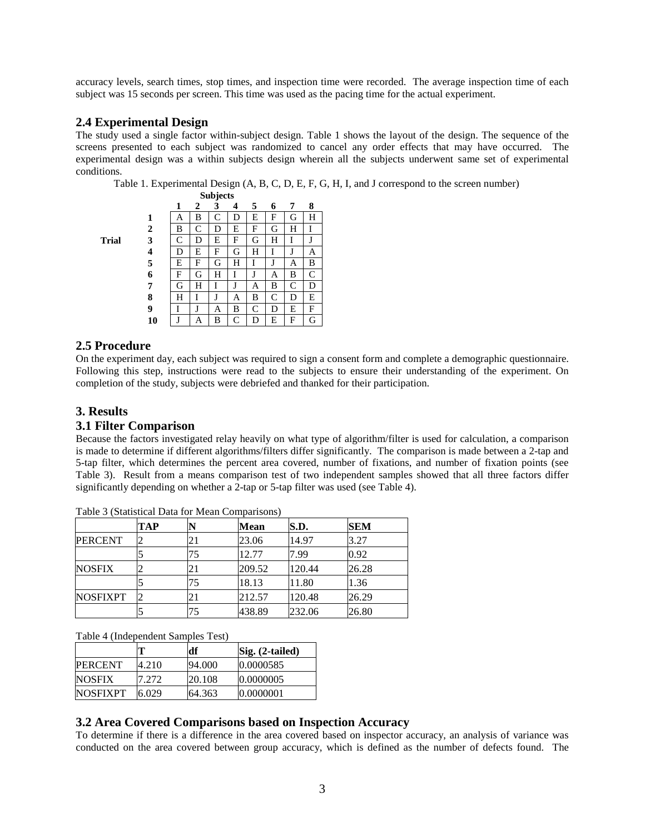accuracy levels, search times, stop times, and inspection time were recorded. The average inspection time of each subject was 15 seconds per screen. This time was used as the pacing time for the actual experiment.

#### **2.4 Experimental Design**

The study used a single factor within-subject design. Table 1 shows the layout of the design. The sequence of the screens presented to each subject was randomized to cancel any order effects that may have occurred. The experimental design was a within subjects design wherein all the subjects underwent same set of experimental conditions.

Table 1. Experimental Design (A, B, C, D, E, F, G, H, I, and J correspond to the screen number)

**Trial** 

|    | 1 | $\mathbf{2}$ | 3 | 4 | 5 | 6 | 7 | 8 |
|----|---|--------------|---|---|---|---|---|---|
| 1  | А | B            | C | D | E | F | G | Н |
| 2  | B | C            | D | E | F | G | Н | I |
| 3  | C | D            | E | F | G | Н | I | J |
| 4  | D | E            | F | G | Н | I | J | А |
| 5  | E | F            | G | H | T | J | A | B |
| 6  | F | G            | H | I | J | Α | B | C |
| 7  | G | H            | I | J | Α | B | C | D |
| 8  | H | I            | J | А | B | C | D | E |
| 9  | I | J            | A | B | C | D | E | F |
| 10 | J | A            | B | C | D | E | F | G |

#### **2.5 Procedure**

On the experiment day, each subject was required to sign a consent form and complete a demographic questionnaire. Following this step, instructions were read to the subjects to ensure their understanding of the experiment. On completion of the study, subjects were debriefed and thanked for their participation.

# **3. Results**

#### **3.1 Filter Comparison**

Because the factors investigated relay heavily on what type of algorithm/filter is used for calculation, a comparison is made to determine if different algorithms/filters differ significantly. The comparison is made between a 2-tap and 5-tap filter, which determines the percent area covered, number of fixations, and number of fixation points (see Table 3). Result from a means comparison test of two independent samples showed that all three factors differ significantly depending on whether a 2-tap or 5-tap filter was used (see Table 4).

|                 | TAP |    | Mean   | S.D.   | <b>SEM</b> |
|-----------------|-----|----|--------|--------|------------|
| <b>PERCENT</b>  |     | 21 | 23.06  | 14.97  | 3.27       |
|                 |     | 75 | 12.77  | 7.99   | 0.92       |
| <b>NOSFIX</b>   |     | 21 | 209.52 | 120.44 | 26.28      |
|                 |     | 75 | 18.13  | 11.80  | 1.36       |
| <b>NOSFIXPT</b> |     | 21 | 212.57 | 120.48 | 26.29      |
|                 |     | 75 | 438.89 | 232.06 | 26.80      |

Table 3 (Statistical Data for Mean Comparisons)

Table 4 (Independent Samples Test)

|                 | т     | df     | $\left\vert \text{Sig.} \left( \text{2-tailed} \right) \right\vert$ |
|-----------------|-------|--------|---------------------------------------------------------------------|
| <b>IPERCENT</b> | 4.210 | 94.000 | 10.0000585                                                          |
| <b>NOSFIX</b>   | 7.272 | 20.108 | 10.0000005                                                          |
| <b>NOSFIXPT</b> | 6.029 | 64.363 | 10.0000001                                                          |

#### **3.2 Area Covered Comparisons based on Inspection Accuracy**

To determine if there is a difference in the area covered based on inspector accuracy, an analysis of variance was conducted on the area covered between group accuracy, which is defined as the number of defects found. The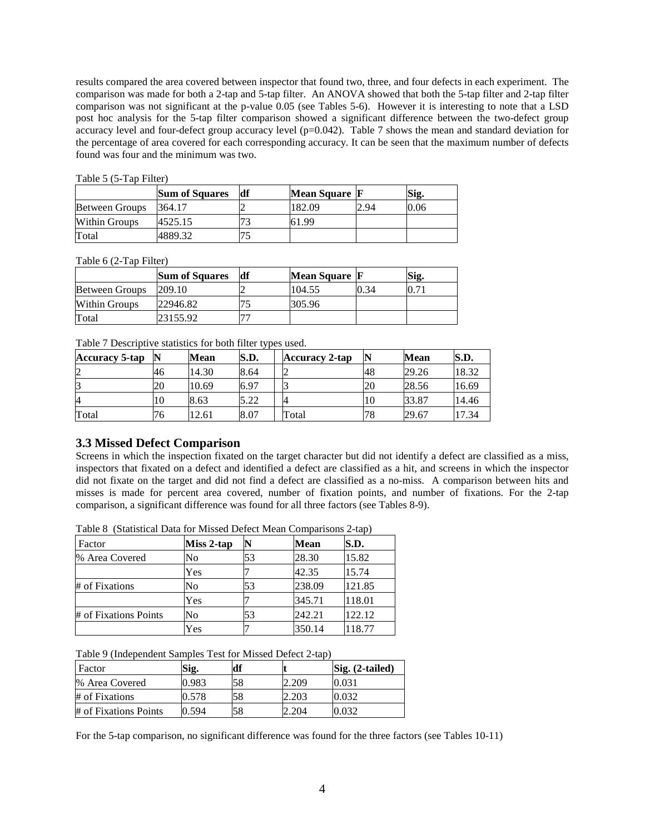results compared the area covered between inspector that found two, three, and four defects in each experiment. The comparison was made for both a 2-tap and 5-tap filter. An ANOVA showed that both the 5-tap filter and 2-tap filter comparison was not significant at the p-value 0.05 (see Tables 5-6). However it is interesting to note that a LSD post hoc analysis for the 5-tap filter comparison showed a significant difference between the two-defect group accuracy level and four-defect group accuracy level (p=0.042). Table 7 shows the mean and standard deviation for the percentage of area covered for each corresponding accuracy. It can be seen that the maximum number of defects found was four and the minimum was two.

| Table 5 (5-Tap Filter) |  |  |  |
|------------------------|--|--|--|
|                        |  |  |  |

|                       | <b>Sum of Squares</b> | df | Mean Square F |      | Sig. |
|-----------------------|-----------------------|----|---------------|------|------|
| <b>Between Groups</b> | 364.17                |    | 182.09        | 2.94 | 0.06 |
| Within Groups         | 4525.15               |    | 61.99         |      |      |
| Total                 | 4889.32               |    |               |      |      |

Table 6 (2-Tap Filter)

|                       | <b>Sum of Squares</b> | df | Mean Square F |      | Sig. |
|-----------------------|-----------------------|----|---------------|------|------|
| <b>Between Groups</b> | 209.10                |    | 104.55        | 0.34 |      |
| Within Groups         | 22946.82              |    | 305.96        |      |      |
| Total                 | 23155.92              |    |               |      |      |

Table 7 Descriptive statistics for both filter types used.

| <b>Accuracy 5-tap</b> | IN | <b>Mean</b> | S.D. | <b>Accuracy 2-tap</b> |    | <b>Mean</b> | S.D.  |
|-----------------------|----|-------------|------|-----------------------|----|-------------|-------|
| 2                     | 46 | 14.30       | 8.64 |                       | 48 | 29.26       | 18.32 |
| 13                    | 20 | 10.69       | 6.97 |                       | ZU | 28.56       | 16.69 |
| 14                    | 10 | 8.63        | 5.22 |                       | 10 | 33.87       | 14.46 |
| Total                 | 76 | 2.61        | 8.07 | Fotal                 | 78 | 29.67       | 7.34  |

## **3.3 Missed Defect Comparison**

Screens in which the inspection fixated on the target character but did not identify a defect are classified as a miss, inspectors that fixated on a defect and identified a defect are classified as a hit, and screens in which the inspector did not fixate on the target and did not find a defect are classified as a no-miss. A comparison between hits and misses is made for percent area covered, number of fixation points, and number of fixations. For the 2-tap comparison, a significant difference was found for all three factors (see Tables 8-9).

Table 8 (Statistical Data for Missed Defect Mean Comparisons 2-tap)

| Factor                | Miss 2-tap |    | <b>Mean</b> | S.D.   |
|-----------------------|------------|----|-------------|--------|
| % Area Covered        | No         | 53 | 28.30       | 15.82  |
|                       | Yes        |    | 42.35       | 15.74  |
| # of Fixations        | No         | 53 | 238.09      | 121.85 |
|                       | Yes        |    | 345.71      | 118.01 |
| # of Fixations Points | No         | 53 | 242.21      | 122.12 |
|                       | Yes        |    | 350.14      | 118.77 |

Table 9 (Independent Samples Test for Missed Defect 2-tap)

| <b>Factor</b>         | Sig.  | ldf |       | Sig. (2-tailed) |
|-----------------------|-------|-----|-------|-----------------|
| % Area Covered        | 0.983 | 58  | 2.209 | 0.031           |
| # of Fixations        | 0.578 | 58  | 2.203 | 0.032           |
| # of Fixations Points | 0.594 | 58  | 2.204 | 0.032           |

For the 5-tap comparison, no significant difference was found for the three factors (see Tables 10-11)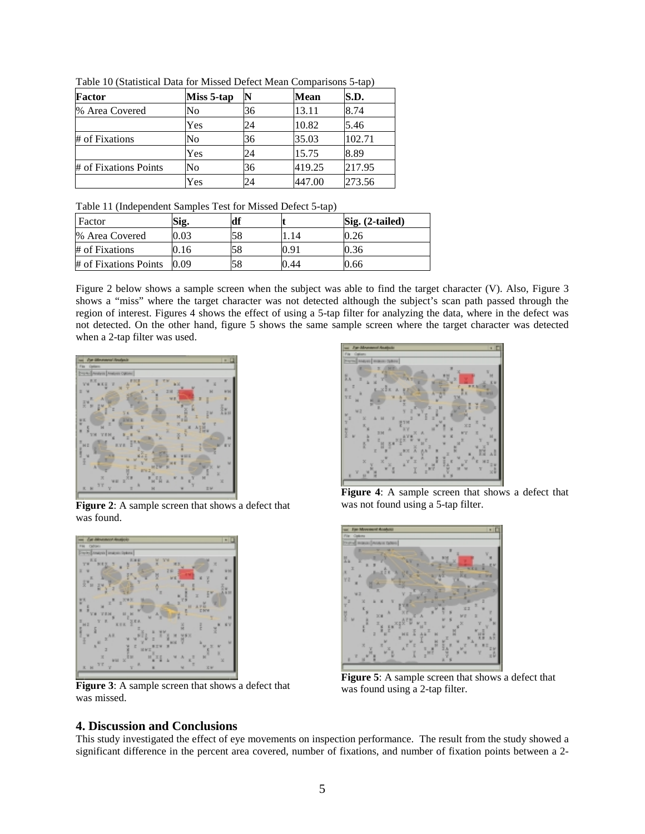| Factor                | Miss 5-tap | N  | <b>Mean</b> | S.D.   |
|-----------------------|------------|----|-------------|--------|
| % Area Covered        | No         | 36 | 13.11       | 8.74   |
|                       | Yes        | 24 | 10.82       | 5.46   |
| # of Fixations        | No         | 36 | 35.03       | 102.71 |
|                       | Yes        | 24 | 15.75       | 8.89   |
| # of Fixations Points | No         | 36 | 419.25      | 217.95 |
|                       | Yes        | 24 | 447.00      | 273.56 |

Table 10 (Statistical Data for Missed Defect Mean Comparisons 5-tap)

| Factor                | Sig.   | df |               | $\mathrm{Sig.}$ (2-tailed) |
|-----------------------|--------|----|---------------|----------------------------|
| % Area Covered        | 0.03   | 58 |               | 0.26                       |
| # of Fixations        | V. I 6 |    | $0.9^{\circ}$ | 0.36                       |
| # of Fixations Points | 0.09   | 58 | 0.44          | 0.66                       |

Figure 2 below shows a sample screen when the subject was able to find the target character (V). Also, Figure 3 shows a "miss" where the target character was not detected although the subject's scan path passed through the region of interest. Figures 4 shows the effect of using a 5-tap filter for analyzing the data, where in the defect was not detected. On the other hand, figure 5 shows the same sample screen where the target character was detected when a 2-tap filter was used.



**Figure 2:** A sample screen that shows a defect that was found.



**Figure 3**: A sample screen that shows a defect that was missed.

**Figure 4**: A sample screen that shows a defect that was not found using a 5-tap filter.



**Figure 5**: A sample screen that shows a defect that was found using a 2-tap filter.

#### **4. Discussion and Conclusions**

This study investigated the effect of eye movements on inspection performance. The result from the study showed a significant difference in the percent area covered, number of fixations, and number of fixation points between a 2